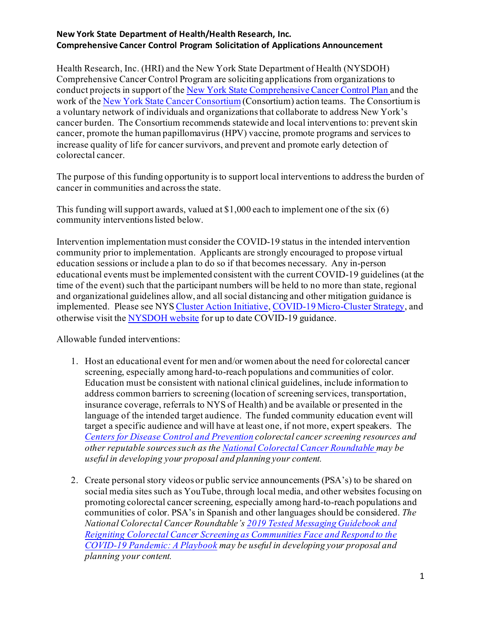Health Research, Inc. (HRI) and the New York State Department of Health (NYSDOH) Comprehensive Cancer Control Program are soliciting applications from organizations to conduct projects in support of th[e New York State Comprehensive Cancer Control Plan](https://www.health.ny.gov/diseases/cancer/consortium/docs/2018-2023_comp_cancer_control_plan.pdf) and the work of the [New York State Cancer Consortium](https://www.health.ny.gov/diseases/cancer/consortium/index.htm) (Consortium) action teams. The Consortium is a voluntary network of individuals and organizations that collaborate to address New York's cancer burden. The Consortium recommends statewide and local interventions to: preventskin cancer, promote the human papillomavirus (HPV) vaccine, promote programs and services to increase quality of life for cancer survivors, and prevent and promote early detection of colorectal cancer.

The purpose of this funding opportunity is to support local interventions to address the burden of cancer in communities and across the state.

This funding will support awards, valued at \$1,000 each to implement one of the six  $(6)$ community interventions listed below.

Intervention implementation must consider the COVID-19 status in the intended intervention community prior to implementation. Applicants are strongly encouraged to propose virtual education sessions or include a plan to do so if that becomes necessary. Any in-person educational events must be implemented consistent with the current COVID-19 guidelines (at the time of the event) such that the participant numbers will be held to no more than state, regional and organizational guidelines allow, and all social distancing and other mitigation guidance is implemented. Please see NY[S Cluster Action Initiative](https://forward.ny.gov/cluster-action-initiative)[, COVID-19 Micro-Cluster Strategy](https://forward.ny.gov/), and otherwise visit the [NYSDOH website](https://coronavirus.health.ny.gov/home) for up to date COVID-19 guidance.

Allowable funded interventions:

- 1. Host an educational event for men and/or women about the need for colorectal cancer screening, especially among hard-to-reach populations and communities of color. Education must be consistent with national clinical guidelines, include information to address common barriers to screening (location of screening services, transportation, insurance coverage, referrals to NYS of Health) and be available or presented in the language of the intended target audience. The funded community education event will target a specific audience and will have at least one, if not more, expert speakers. The *[Centers for Disease Control and Prevention](https://www.cdc.gov/cancer/colorectal/) colorectal cancer screening resources and other reputable sources such as th[e National Colorectal Cancer Roundtable](https://nccrt.org/resource/webinar-reigniting-colorectal-cancer-screening-as-communities-face-and-respond-to-the-covid-19-pandemic/) may be useful in developing your proposal and planning your content.*
- 2. Create personal story videos or public service announcements (PSA's) to be shared on social media sites such as YouTube, through local media, and other websites focusing on promoting colorectal cancer screening, especially among hard-to-reach populations and communities of color. PSA's in Spanish and other languages should be considered. *The National Colorectal Cancer Roundtable'[s 2019 Tested Messaging Guidebook](https://nccrt.org/resource/2019messagingguidebook/) and [Reigniting Colorectal Cancer Screening as Communities Face and Respond to the](https://nccrt.org/resource/a-playbook-for-reigniting-colorectal-cancer-screening-as-communities-respond-to-the-covid-19-pandemic/)  [COVID-19 Pandemic: A Playbook](https://nccrt.org/resource/a-playbook-for-reigniting-colorectal-cancer-screening-as-communities-respond-to-the-covid-19-pandemic/) may be useful in developing your proposal and planning your content.*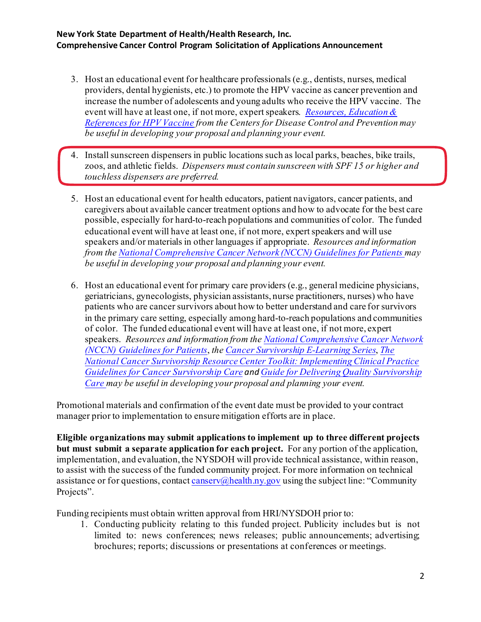- 3. Host an educational event for healthcare professionals (e.g., dentists, nurses, medical providers, dental hygienists, etc.) to promote the HPV vaccine as cancer prevention and increase the number of adolescents and young adults who receive the HPV vaccine. The event will have at least one, if not more, expert speakers. *[Resources, Education &](https://www.cdc.gov/vaccines/vpd/hpv/hcp/resources.html#materials)  [References for HPV Vaccine](https://www.cdc.gov/vaccines/vpd/hpv/hcp/resources.html#materials) from the Centers for Disease Control and Prevention may be useful in developing your proposal and planning your event.*
- 4. Install sunscreen dispensers in public locations such as local parks, beaches, bike trails, zoos, and athletic fields. *Dispensers must contain sunscreen with SPF 15 or higher and touchless dispensers are preferred.*
- 5. Host an educational event for health educators, patient navigators, cancer patients, and caregivers about available cancer treatment options and how to advocate for the best care possible, especially for hard-to-reach populations and communities of color. The funded educational event will have at least one, if not more, expert speakers and will use speakers and/or materials in other languages if appropriate. *Resources and information from the [National Comprehensive Cancer Network \(NCCN\) Guidelines for Patients](https://www.nccn.org/patients/guidelines/cancers.aspx) may be useful in developing your proposal and planning your event.*
- 6. Host an educational event for primary care providers (e.g., general medicine physicians, geriatricians, gynecologists, physician assistants, nurse practitioners, nurses) who have patients who are cancer survivors about how to better understand and care for survivors in the primary care setting, especially among hard-to-reach populations and communities of color. The funded educational event will have at least one, if not more, expert speakers. *Resources and information from th[e National Comprehensive Cancer Network](https://www.nccn.org/patients/guidelines/cancers.aspx)  [\(NCCN\) Guidelines for Patients](https://www.nccn.org/patients/guidelines/cancers.aspx)*, *th[e Cancer Survivorship E-Learning Series](https://smhs.gwu.edu/gwci/survivorship/ncsrc/elearning)*, *[The](https://smhs.gwu.edu/gwci/sites/gwci/files/NCSRC%20Toolkit%20FINAL.pdf?src=GWCIwebsite)  [National Cancer Survivorship Resource Center Toolkit: Implementing Clinical Practice](https://smhs.gwu.edu/gwci/sites/gwci/files/NCSRC%20Toolkit%20FINAL.pdf?src=GWCIwebsite)  [Guidelines for Cancer Survivorship Care](https://smhs.gwu.edu/gwci/sites/gwci/files/NCSRC%20Toolkit%20FINAL.pdf?src=GWCIwebsite) and [Guide for Delivering Quality Survivorship](https://smhs.gwu.edu/gwci/sites/gwci/files/Guide_for_Delivering_Quality_Survivorship_Care_FINAL.pdf)  [Care](https://smhs.gwu.edu/gwci/sites/gwci/files/Guide_for_Delivering_Quality_Survivorship_Care_FINAL.pdf) may be useful in developing your proposal and planning your event.*

Promotional materials and confirmation of the event date must be provided to your contract manager prior to implementation to ensure mitigation efforts are in place.

**Eligible organizations may submit applications to implement up to three different projects but must submit a separate application for each project.** For any portion of the application, implementation, and evaluation, the NYSDOH will provide technical assistance, within reason, to assist with the success of the funded community project. For more information on technical assistance or for questions, contact [canserv@health.ny.gov](mailto:canserv@health.ny.gov) using the subject line: "Community" Projects".

Funding recipients must obtain written approval from HRI/NYSDOH prior to:

1. Conducting publicity relating to this funded project. Publicity includes but is not limited to: news conferences; news releases; public announcements; advertising; brochures; reports; discussions or presentations at conferences or meetings.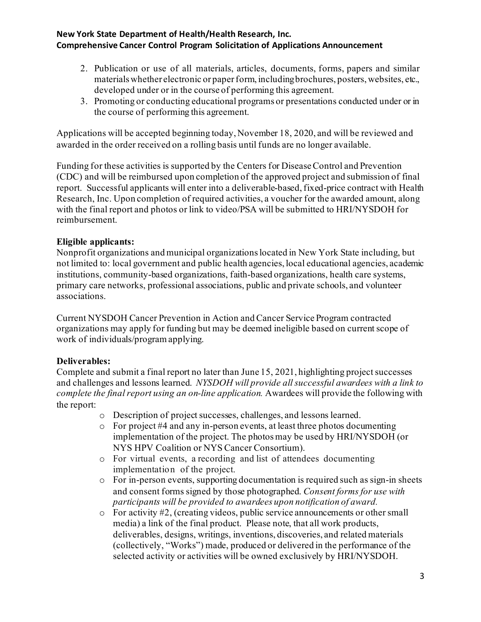- 2. Publication or use of all materials, articles, documents, forms, papers and similar materials whether electronic or paper form, including brochures, posters, websites, etc., developed under or in the course of performing this agreement.
- 3. Promoting or conducting educational programs or presentations conducted under or in the course of performing this agreement.

Applications will be accepted beginning today, November 18, 2020, and will be reviewed and awarded in the order received on a rolling basis until funds are no longer available.

Funding for these activities is supported by the Centers for Disease Control and Prevention (CDC) and will be reimbursed upon completion of the approved project and submission of final report. Successful applicants will enter into a deliverable-based, fixed-price contract with Health Research, Inc. Upon completion of required activities, a voucher for the awarded amount, along with the final report and photos or link to video/PSA will be submitted to HRI/NYSDOH for reimbursement.

## **Eligible applicants:**

Nonprofit organizations and municipal organizations located in New York State including, but not limited to: local government and public health agencies, local educational agencies, academic institutions, community-based organizations, faith-based organizations, health care systems, primary care networks, professional associations, public and private schools, and volunteer associations.

Current NYSDOH Cancer Prevention in Action and Cancer Service Program contracted organizations may apply for funding but may be deemed ineligible based on current scope of work of individuals/program applying.

# **Deliverables:**

Complete and submit a final report no later than June 15, 2021, highlighting project successes and challenges and lessons learned. *NYSDOH will provide all successful awardees with a link to complete the final report using an on-line application.* Awardees will provide the following with the report:

- o Description of project successes, challenges, and lessons learned.
- o For project #4 and any in-person events, at least three photos documenting implementation of the project. The photos may be used by HRI/NYSDOH (or NYS HPV Coalition or NYS Cancer Consortium).
- o For virtual events, a recording and list of attendees documenting implementation of the project.
- o For in-person events, supporting documentation is required such as sign-in sheets and consent forms signed by those photographed. *Consent forms for use with participants will be provided to awardees upon notification of award.*
- o For activity #2, (creating videos, public service announcements or other small media) a link of the final product. Please note, that all work products, deliverables, designs, writings, inventions, discoveries, and related materials (collectively, "Works") made, produced or delivered in the performance of the selected activity or activities will be owned exclusively by HRI/NYSDOH.